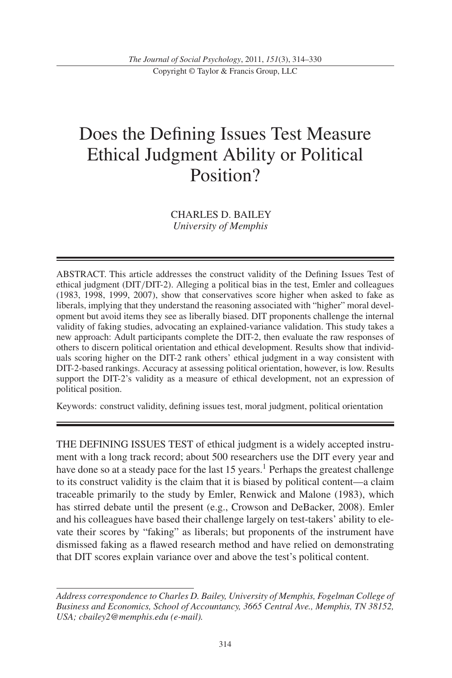Copyright © Taylor & Francis Group, LLC

# Does the Defining Issues Test Measure Ethical Judgment Ability or Political Position?

CHARLES D. BAILEY *University of Memphis*

ABSTRACT. This article addresses the construct validity of the Defining Issues Test of ethical judgment (DIT/DIT-2). Alleging a political bias in the test, Emler and colleagues (1983, 1998, 1999, 2007), show that conservatives score higher when asked to fake as liberals, implying that they understand the reasoning associated with "higher" moral development but avoid items they see as liberally biased. DIT proponents challenge the internal validity of faking studies, advocating an explained-variance validation. This study takes a new approach: Adult participants complete the DIT-2, then evaluate the raw responses of others to discern political orientation and ethical development. Results show that individuals scoring higher on the DIT-2 rank others' ethical judgment in a way consistent with DIT-2-based rankings. Accuracy at assessing political orientation, however, is low. Results support the DIT-2's validity as a measure of ethical development, not an expression of political position.

Keywords: construct validity, defining issues test, moral judgment, political orientation

THE DEFINING ISSUES TEST of ethical judgment is a widely accepted instrument with a long track record; about 500 researchers use the DIT every year and have done so at a steady pace for the last 15 years.<sup>1</sup> Perhaps the greatest challenge to its construct validity is the claim that it is biased by political content—a claim traceable primarily to the study by Emler, Renwick and Malone (1983), which has stirred debate until the present (e.g., Crowson and DeBacker, 2008). Emler and his colleagues have based their challenge largely on test-takers' ability to elevate their scores by "faking" as liberals; but proponents of the instrument have dismissed faking as a flawed research method and have relied on demonstrating that DIT scores explain variance over and above the test's political content.

*Address correspondence to Charles D. Bailey, University of Memphis, Fogelman College of Business and Economics, School of Accountancy, 3665 Central Ave., Memphis, TN 38152, USA; cbailey2@memphis.edu (e-mail).*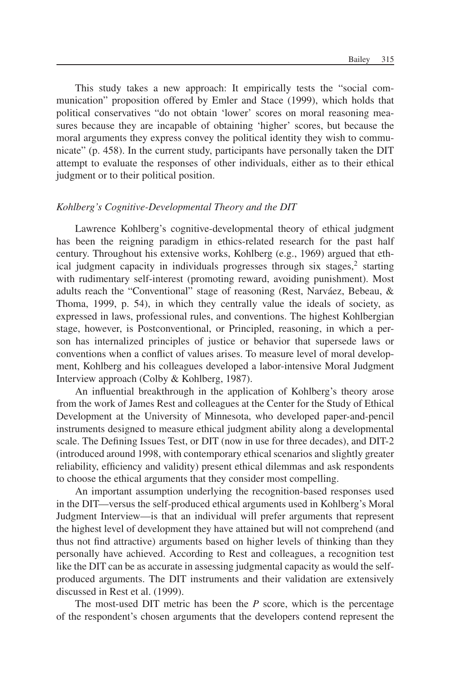This study takes a new approach: It empirically tests the "social communication" proposition offered by Emler and Stace (1999), which holds that political conservatives "do not obtain 'lower' scores on moral reasoning measures because they are incapable of obtaining 'higher' scores, but because the moral arguments they express convey the political identity they wish to communicate" (p. 458). In the current study, participants have personally taken the DIT attempt to evaluate the responses of other individuals, either as to their ethical judgment or to their political position.

## *Kohlberg's Cognitive-Developmental Theory and the DIT*

Lawrence Kohlberg's cognitive-developmental theory of ethical judgment has been the reigning paradigm in ethics-related research for the past half century. Throughout his extensive works, Kohlberg (e.g., 1969) argued that ethical judgment capacity in individuals progresses through six stages, $\frac{2}{3}$  starting with rudimentary self-interest (promoting reward, avoiding punishment). Most adults reach the "Conventional" stage of reasoning (Rest, Narváez, Bebeau, & Thoma, 1999, p. 54), in which they centrally value the ideals of society, as expressed in laws, professional rules, and conventions. The highest Kohlbergian stage, however, is Postconventional, or Principled, reasoning, in which a person has internalized principles of justice or behavior that supersede laws or conventions when a conflict of values arises. To measure level of moral development, Kohlberg and his colleagues developed a labor-intensive Moral Judgment Interview approach (Colby & Kohlberg, 1987).

An influential breakthrough in the application of Kohlberg's theory arose from the work of James Rest and colleagues at the Center for the Study of Ethical Development at the University of Minnesota, who developed paper-and-pencil instruments designed to measure ethical judgment ability along a developmental scale. The Defining Issues Test, or DIT (now in use for three decades), and DIT-2 (introduced around 1998, with contemporary ethical scenarios and slightly greater reliability, efficiency and validity) present ethical dilemmas and ask respondents to choose the ethical arguments that they consider most compelling.

An important assumption underlying the recognition-based responses used in the DIT—versus the self-produced ethical arguments used in Kohlberg's Moral Judgment Interview—is that an individual will prefer arguments that represent the highest level of development they have attained but will not comprehend (and thus not find attractive) arguments based on higher levels of thinking than they personally have achieved. According to Rest and colleagues, a recognition test like the DIT can be as accurate in assessing judgmental capacity as would the selfproduced arguments. The DIT instruments and their validation are extensively discussed in Rest et al. (1999).

The most-used DIT metric has been the *P* score, which is the percentage of the respondent's chosen arguments that the developers contend represent the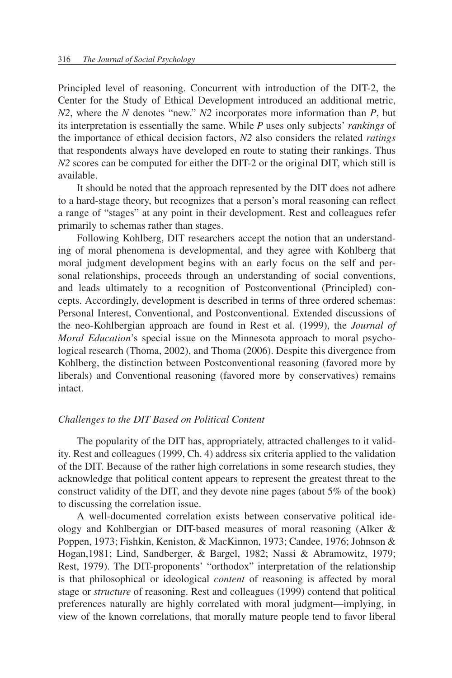Principled level of reasoning. Concurrent with introduction of the DIT-2, the Center for the Study of Ethical Development introduced an additional metric, *N2*, where the *N* denotes "new." *N2* incorporates more information than *P*, but its interpretation is essentially the same. While *P* uses only subjects' *rankings* of the importance of ethical decision factors, *N2* also considers the related *ratings* that respondents always have developed en route to stating their rankings. Thus *N2* scores can be computed for either the DIT-2 or the original DIT, which still is available.

It should be noted that the approach represented by the DIT does not adhere to a hard-stage theory, but recognizes that a person's moral reasoning can reflect a range of "stages" at any point in their development. Rest and colleagues refer primarily to schemas rather than stages.

Following Kohlberg, DIT researchers accept the notion that an understanding of moral phenomena is developmental, and they agree with Kohlberg that moral judgment development begins with an early focus on the self and personal relationships, proceeds through an understanding of social conventions, and leads ultimately to a recognition of Postconventional (Principled) concepts. Accordingly, development is described in terms of three ordered schemas: Personal Interest, Conventional, and Postconventional. Extended discussions of the neo-Kohlbergian approach are found in Rest et al. (1999), the *Journal of Moral Education*'s special issue on the Minnesota approach to moral psychological research (Thoma, 2002), and Thoma (2006). Despite this divergence from Kohlberg, the distinction between Postconventional reasoning (favored more by liberals) and Conventional reasoning (favored more by conservatives) remains intact.

# *Challenges to the DIT Based on Political Content*

The popularity of the DIT has, appropriately, attracted challenges to it validity. Rest and colleagues (1999, Ch. 4) address six criteria applied to the validation of the DIT. Because of the rather high correlations in some research studies, they acknowledge that political content appears to represent the greatest threat to the construct validity of the DIT, and they devote nine pages (about 5% of the book) to discussing the correlation issue.

A well-documented correlation exists between conservative political ideology and Kohlbergian or DIT-based measures of moral reasoning (Alker & Poppen, 1973; Fishkin, Keniston, & MacKinnon, 1973; Candee, 1976; Johnson & Hogan,1981; Lind, Sandberger, & Bargel, 1982; Nassi & Abramowitz, 1979; Rest, 1979). The DIT-proponents' "orthodox" interpretation of the relationship is that philosophical or ideological *content* of reasoning is affected by moral stage or *structure* of reasoning. Rest and colleagues (1999) contend that political preferences naturally are highly correlated with moral judgment—implying, in view of the known correlations, that morally mature people tend to favor liberal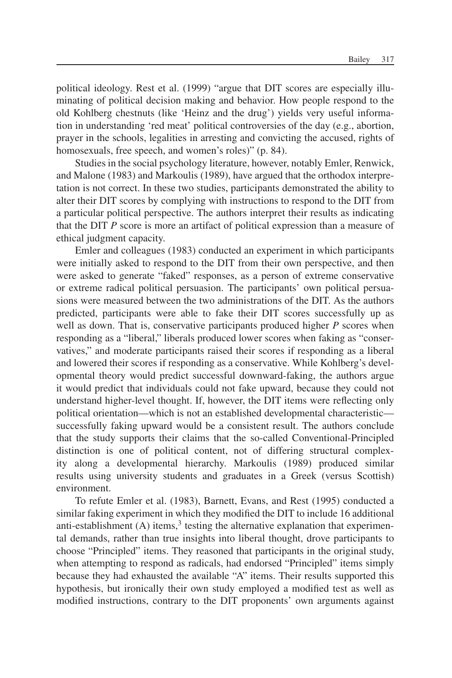political ideology. Rest et al. (1999) "argue that DIT scores are especially illuminating of political decision making and behavior. How people respond to the old Kohlberg chestnuts (like 'Heinz and the drug') yields very useful information in understanding 'red meat' political controversies of the day (e.g., abortion, prayer in the schools, legalities in arresting and convicting the accused, rights of homosexuals, free speech, and women's roles)" (p. 84).

Studies in the social psychology literature, however, notably Emler, Renwick, and Malone (1983) and Markoulis (1989), have argued that the orthodox interpretation is not correct. In these two studies, participants demonstrated the ability to alter their DIT scores by complying with instructions to respond to the DIT from a particular political perspective. The authors interpret their results as indicating that the DIT *P* score is more an artifact of political expression than a measure of ethical judgment capacity.

Emler and colleagues (1983) conducted an experiment in which participants were initially asked to respond to the DIT from their own perspective, and then were asked to generate "faked" responses, as a person of extreme conservative or extreme radical political persuasion. The participants' own political persuasions were measured between the two administrations of the DIT. As the authors predicted, participants were able to fake their DIT scores successfully up as well as down. That is, conservative participants produced higher *P* scores when responding as a "liberal," liberals produced lower scores when faking as "conservatives," and moderate participants raised their scores if responding as a liberal and lowered their scores if responding as a conservative. While Kohlberg's developmental theory would predict successful downward-faking, the authors argue it would predict that individuals could not fake upward, because they could not understand higher-level thought. If, however, the DIT items were reflecting only political orientation—which is not an established developmental characteristic successfully faking upward would be a consistent result. The authors conclude that the study supports their claims that the so-called Conventional-Principled distinction is one of political content, not of differing structural complexity along a developmental hierarchy. Markoulis (1989) produced similar results using university students and graduates in a Greek (versus Scottish) environment.

To refute Emler et al. (1983), Barnett, Evans, and Rest (1995) conducted a similar faking experiment in which they modified the DIT to include 16 additional anti-establishment  $(A)$  items,<sup>3</sup> testing the alternative explanation that experimental demands, rather than true insights into liberal thought, drove participants to choose "Principled" items. They reasoned that participants in the original study, when attempting to respond as radicals, had endorsed "Principled" items simply because they had exhausted the available "A" items. Their results supported this hypothesis, but ironically their own study employed a modified test as well as modified instructions, contrary to the DIT proponents' own arguments against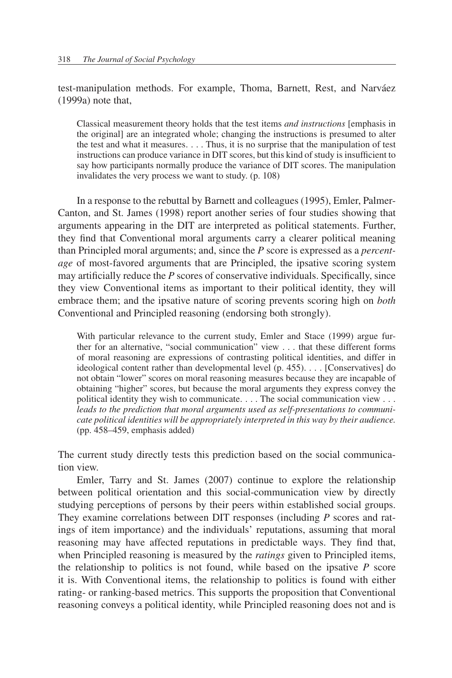test-manipulation methods. For example, Thoma, Barnett, Rest, and Narváez (1999a) note that,

Classical measurement theory holds that the test items *and instructions* [emphasis in the original] are an integrated whole; changing the instructions is presumed to alter the test and what it measures... . Thus, it is no surprise that the manipulation of test instructions can produce variance in DIT scores, but this kind of study is insufficient to say how participants normally produce the variance of DIT scores. The manipulation invalidates the very process we want to study. (p. 108)

In a response to the rebuttal by Barnett and colleagues (1995), Emler, Palmer-Canton, and St. James (1998) report another series of four studies showing that arguments appearing in the DIT are interpreted as political statements. Further, they find that Conventional moral arguments carry a clearer political meaning than Principled moral arguments; and, since the *P* score is expressed as a *percentage* of most-favored arguments that are Principled, the ipsative scoring system may artificially reduce the *P* scores of conservative individuals. Specifically, since they view Conventional items as important to their political identity, they will embrace them; and the ipsative nature of scoring prevents scoring high on *both* Conventional and Principled reasoning (endorsing both strongly).

With particular relevance to the current study, Emler and Stace (1999) argue further for an alternative, "social communication" view ... that these different forms of moral reasoning are expressions of contrasting political identities, and differ in ideological content rather than developmental level (p. 455)... . [Conservatives] do not obtain "lower" scores on moral reasoning measures because they are incapable of obtaining "higher" scores, but because the moral arguments they express convey the political identity they wish to communicate... . The social communication view ... *leads to the prediction that moral arguments used as self-presentations to communicate political identities will be appropriately interpreted in this way by their audience.* (pp. 458–459, emphasis added)

The current study directly tests this prediction based on the social communication view.

Emler, Tarry and St. James (2007) continue to explore the relationship between political orientation and this social-communication view by directly studying perceptions of persons by their peers within established social groups. They examine correlations between DIT responses (including *P* scores and ratings of item importance) and the individuals' reputations, assuming that moral reasoning may have affected reputations in predictable ways. They find that, when Principled reasoning is measured by the *ratings* given to Principled items, the relationship to politics is not found, while based on the ipsative *P* score it is. With Conventional items, the relationship to politics is found with either rating- or ranking-based metrics. This supports the proposition that Conventional reasoning conveys a political identity, while Principled reasoning does not and is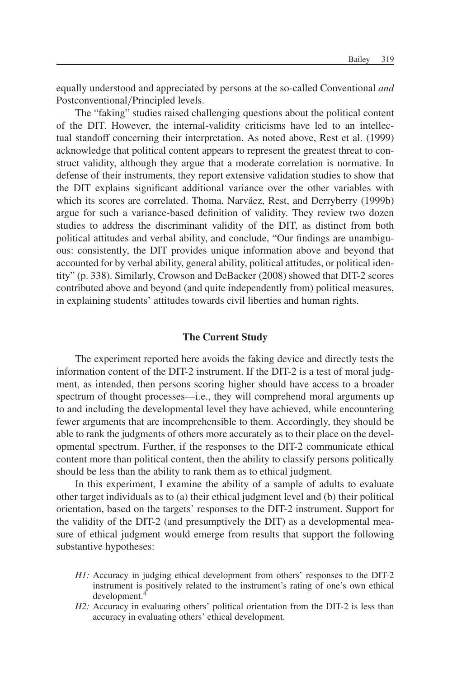equally understood and appreciated by persons at the so-called Conventional *and* Postconventional/Principled levels.

The "faking" studies raised challenging questions about the political content of the DIT. However, the internal-validity criticisms have led to an intellectual standoff concerning their interpretation. As noted above, Rest et al. (1999) acknowledge that political content appears to represent the greatest threat to construct validity, although they argue that a moderate correlation is normative. In defense of their instruments, they report extensive validation studies to show that the DIT explains significant additional variance over the other variables with which its scores are correlated. Thoma, Narváez, Rest, and Derryberry (1999b) argue for such a variance-based definition of validity. They review two dozen studies to address the discriminant validity of the DIT, as distinct from both political attitudes and verbal ability, and conclude, "Our findings are unambiguous: consistently, the DIT provides unique information above and beyond that accounted for by verbal ability, general ability, political attitudes, or political identity" (p. 338). Similarly, Crowson and DeBacker (2008) showed that DIT-2 scores contributed above and beyond (and quite independently from) political measures, in explaining students' attitudes towards civil liberties and human rights.

## **The Current Study**

The experiment reported here avoids the faking device and directly tests the information content of the DIT-2 instrument. If the DIT-2 is a test of moral judgment, as intended, then persons scoring higher should have access to a broader spectrum of thought processes—i.e., they will comprehend moral arguments up to and including the developmental level they have achieved, while encountering fewer arguments that are incomprehensible to them. Accordingly, they should be able to rank the judgments of others more accurately as to their place on the developmental spectrum. Further, if the responses to the DIT-2 communicate ethical content more than political content, then the ability to classify persons politically should be less than the ability to rank them as to ethical judgment.

In this experiment, I examine the ability of a sample of adults to evaluate other target individuals as to (a) their ethical judgment level and (b) their political orientation, based on the targets' responses to the DIT-2 instrument. Support for the validity of the DIT-2 (and presumptively the DIT) as a developmental measure of ethical judgment would emerge from results that support the following substantive hypotheses:

- *H1:* Accuracy in judging ethical development from others' responses to the DIT-2 instrument is positively related to the instrument's rating of one's own ethical development.<sup>4</sup>
- *H2*: Accuracy in evaluating others' political orientation from the DIT-2 is less than accuracy in evaluating others' ethical development.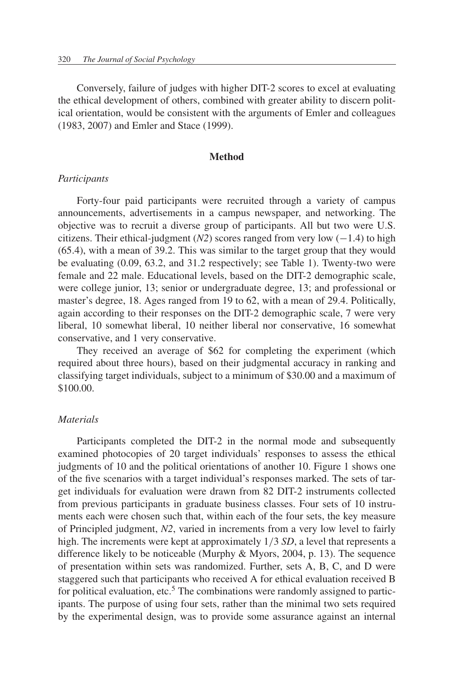Conversely, failure of judges with higher DIT-2 scores to excel at evaluating the ethical development of others, combined with greater ability to discern political orientation, would be consistent with the arguments of Emler and colleagues (1983, 2007) and Emler and Stace (1999).

## **Method**

## *Participants*

Forty-four paid participants were recruited through a variety of campus announcements, advertisements in a campus newspaper, and networking. The objective was to recruit a diverse group of participants. All but two were U.S. citizens. Their ethical-judgment  $(N2)$  scores ranged from very low  $(-1.4)$  to high (65.4), with a mean of 39.2. This was similar to the target group that they would be evaluating (0.09, 63.2, and 31.2 respectively; see Table 1). Twenty-two were female and 22 male. Educational levels, based on the DIT-2 demographic scale, were college junior, 13; senior or undergraduate degree, 13; and professional or master's degree, 18. Ages ranged from 19 to 62, with a mean of 29.4. Politically, again according to their responses on the DIT-2 demographic scale, 7 were very liberal, 10 somewhat liberal, 10 neither liberal nor conservative, 16 somewhat conservative, and 1 very conservative.

They received an average of \$62 for completing the experiment (which required about three hours), based on their judgmental accuracy in ranking and classifying target individuals, subject to a minimum of \$30.00 and a maximum of \$100.00.

# *Materials*

Participants completed the DIT-2 in the normal mode and subsequently examined photocopies of 20 target individuals' responses to assess the ethical judgments of 10 and the political orientations of another 10. Figure 1 shows one of the five scenarios with a target individual's responses marked. The sets of target individuals for evaluation were drawn from 82 DIT-2 instruments collected from previous participants in graduate business classes. Four sets of 10 instruments each were chosen such that, within each of the four sets, the key measure of Principled judgment, *N2*, varied in increments from a very low level to fairly high. The increments were kept at approximately 1/3 *SD*, a level that represents a difference likely to be noticeable (Murphy & Myors, 2004, p. 13). The sequence of presentation within sets was randomized. Further, sets A, B, C, and D were staggered such that participants who received A for ethical evaluation received B for political evaluation, etc.<sup>5</sup> The combinations were randomly assigned to participants. The purpose of using four sets, rather than the minimal two sets required by the experimental design, was to provide some assurance against an internal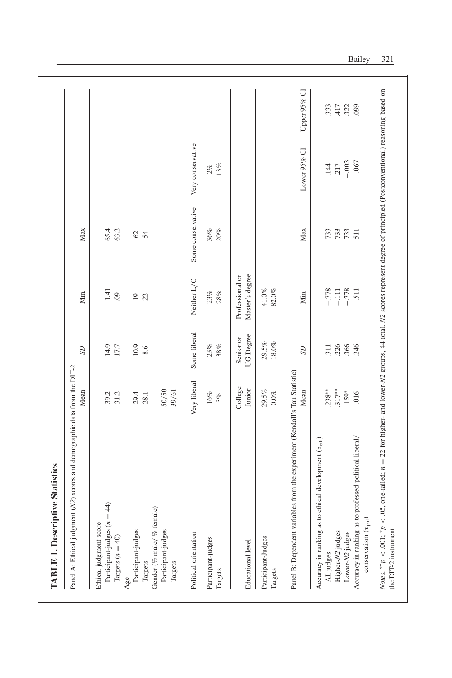| Panel A: Ethical judgment (N2) scores and demographic data from the DIT-2             |              |                |                 |                   |                   |                  |
|---------------------------------------------------------------------------------------|--------------|----------------|-----------------|-------------------|-------------------|------------------|
|                                                                                       | Mean         | $S\!D$         | Min.            | Max               |                   |                  |
| Ethical judgment score                                                                |              |                |                 |                   |                   |                  |
| Participant-judges $(n = 44)$                                                         | 39.2         | 14.9           | $-1.41$         | 65.4              |                   |                  |
| Targets $(n = 40)$                                                                    | 31.2         | 17.7           | $\ddot{\circ}$  | 63.2              |                   |                  |
| Age                                                                                   |              |                |                 |                   |                   |                  |
| Participant-judges                                                                    | 29.4         | 10.9           | $\overline{0}$  |                   |                   |                  |
| Targets                                                                               | 28.1         | 8.6            | 22              | 624               |                   |                  |
| Gender (% male/% female)                                                              |              |                |                 |                   |                   |                  |
| Participant-judges                                                                    | 50/50        |                |                 |                   |                   |                  |
| Targets                                                                               | 39/61        |                |                 |                   |                   |                  |
| Political orientation                                                                 | Very liberal | Some liberal   | Neither L/C     | Some conservative | Very conservative |                  |
| Participant-judges                                                                    | 16%          | 23%            | 23%             | 36%               |                   |                  |
| Targets                                                                               | 3%           | 38%            | $28\%$          | 20%               | $2\%$ 13%         |                  |
|                                                                                       | College      | Senior or      | Professional or |                   |                   |                  |
| Educational level                                                                     | Junior       | UG Degree      | Master's degree |                   |                   |                  |
| Participant-Judges                                                                    | 29.5%        | 29.5%          | $41.0\%$        |                   |                   |                  |
| Targets                                                                               | $0.0\%$      | $18.0\%$       | 82.0%           |                   |                   |                  |
| Panel B: Dependent variables from the experiment (Kendall's Tau Statistic)            |              |                |                 |                   |                   |                  |
|                                                                                       | Mean         | S <sub>D</sub> | Min.            | Max               | Lower 95% CI      | Upper 95% CI     |
| Accuracy in ranking as to ethical development (Teth)                                  |              |                |                 |                   |                   |                  |
| All judges                                                                            | $.238**$     | 311            | $-778$          | .733              | 144               | 333              |
| Higher-N2 judges                                                                      | $.317**$     | .226           | $-111$          |                   | 217               | .417             |
| Lower-N2 judges                                                                       | $.159*$      | .366           | $-778$          | $733$<br>$733$    | $-.003$           | $.322$<br>$.099$ |
| Accuracy in ranking as to professed political liberal/<br>conservatism $(\tau_{pol})$ | 016          | 246            | $-511$          |                   | $-0.067$          |                  |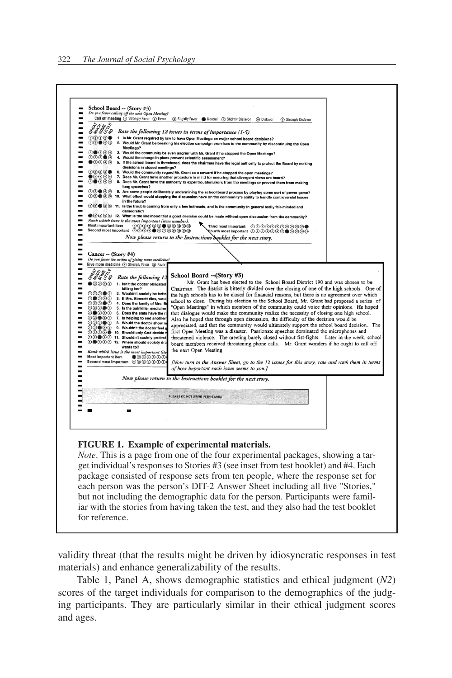

#### **FIGURE 1. Example of experimental materials.**

*Note*. This is a page from one of the four experimental packages, showing a target individual's responses to Stories #3 (see inset from test booklet) and #4. Each package consisted of response sets from ten people, where the response set for each person was the person's DIT-2 Answer Sheet including all five "Stories," but not including the demographic data for the person. Participants were familiar with the stories from having taken the test, and they also had the test booklet for reference.

validity threat (that the results might be driven by idiosyncratic responses in test materials) and enhance generalizability of the results.

Table 1, Panel A, shows demographic statistics and ethical judgment (*N2*) scores of the target individuals for comparison to the demographics of the judging participants. They are particularly similar in their ethical judgment scores and ages.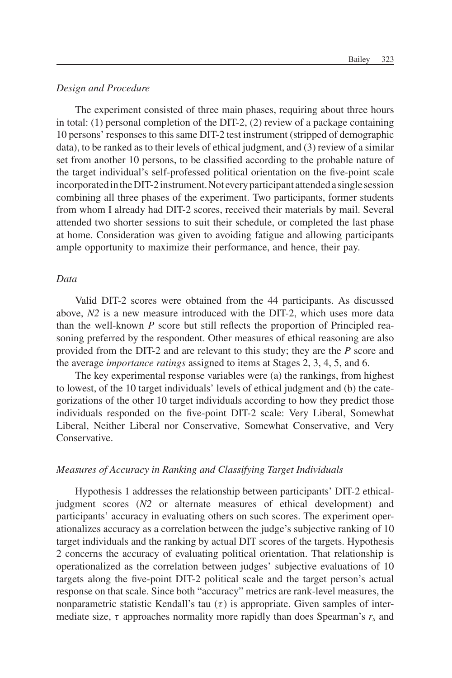# *Design and Procedure*

The experiment consisted of three main phases, requiring about three hours in total: (1) personal completion of the DIT-2, (2) review of a package containing 10 persons' responses to this same DIT-2 test instrument (stripped of demographic data), to be ranked as to their levels of ethical judgment, and (3) review of a similar set from another 10 persons, to be classified according to the probable nature of the target individual's self-professed political orientation on the five-point scale incorporatedinthe DIT-2instrument. Not every participant attended a single session combining all three phases of the experiment. Two participants, former students from whom I already had DIT-2 scores, received their materials by mail. Several attended two shorter sessions to suit their schedule, or completed the last phase at home. Consideration was given to avoiding fatigue and allowing participants ample opportunity to maximize their performance, and hence, their pay.

# *Data*

Valid DIT-2 scores were obtained from the 44 participants. As discussed above, *N2* is a new measure introduced with the DIT-2, which uses more data than the well-known *P* score but still reflects the proportion of Principled reasoning preferred by the respondent. Other measures of ethical reasoning are also provided from the DIT-2 and are relevant to this study; they are the *P* score and the average *importance ratings* assigned to items at Stages 2, 3, 4, 5, and 6.

The key experimental response variables were (a) the rankings, from highest to lowest, of the 10 target individuals' levels of ethical judgment and (b) the categorizations of the other 10 target individuals according to how they predict those individuals responded on the five-point DIT-2 scale: Very Liberal, Somewhat Liberal, Neither Liberal nor Conservative, Somewhat Conservative, and Very Conservative.

## *Measures of Accuracy in Ranking and Classifying Target Individuals*

Hypothesis 1 addresses the relationship between participants' DIT-2 ethicaljudgment scores (*N2* or alternate measures of ethical development) and participants' accuracy in evaluating others on such scores. The experiment operationalizes accuracy as a correlation between the judge's subjective ranking of 10 target individuals and the ranking by actual DIT scores of the targets. Hypothesis 2 concerns the accuracy of evaluating political orientation. That relationship is operationalized as the correlation between judges' subjective evaluations of 10 targets along the five-point DIT-2 political scale and the target person's actual response on that scale. Since both "accuracy" metrics are rank-level measures, the nonparametric statistic Kendall's tau  $(\tau)$  is appropriate. Given samples of intermediate size,  $\tau$  approaches normality more rapidly than does Spearman's  $r_s$  and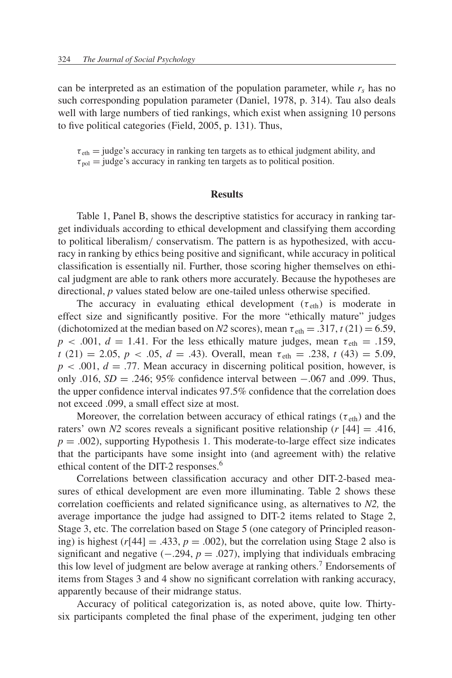can be interpreted as an estimation of the population parameter, while  $r_s$  has no such corresponding population parameter (Daniel, 1978, p. 314). Tau also deals well with large numbers of tied rankings, which exist when assigning 10 persons to five political categories (Field, 2005, p. 131). Thus,

 $\tau_{\text{eth}}$  = judge's accuracy in ranking ten targets as to ethical judgment ability, and  $\tau_{pol}$  = judge's accuracy in ranking ten targets as to political position.

#### **Results**

Table 1, Panel B, shows the descriptive statistics for accuracy in ranking target individuals according to ethical development and classifying them according to political liberalism/ conservatism. The pattern is as hypothesized, with accuracy in ranking by ethics being positive and significant, while accuracy in political classification is essentially nil. Further, those scoring higher themselves on ethical judgment are able to rank others more accurately. Because the hypotheses are directional, *p* values stated below are one-tailed unless otherwise specified.

The accuracy in evaluating ethical development  $(\tau_{\text{eth}})$  is moderate in effect size and significantly positive. For the more "ethically mature" judges (dichotomized at the median based on *N2* scores), mean  $\tau_{\text{eth}} = .317$ ,  $t(21) = 6.59$ ,  $p < .001$ ,  $d = 1.41$ . For the less ethically mature judges, mean  $\tau_{\text{eth}} = .159$ , *t* (21) = 2.05, *p* < .05, *d* = .43). Overall, mean  $\tau_{\text{eth}}$  = .238, *t* (43) = 5.09,  $p < .001$ ,  $d = .77$ . Mean accuracy in discerning political position, however, is only .016, *SD* = .246; 95% confidence interval between −.067 and .099. Thus, the upper confidence interval indicates 97.5% confidence that the correlation does not exceed .099, a small effect size at most.

Moreover, the correlation between accuracy of ethical ratings ( $\tau_{\text{eth}}$ ) and the raters' own *N2* scores reveals a significant positive relationship ( $r$  [44] = .416,  $p = .002$ ), supporting Hypothesis 1. This moderate-to-large effect size indicates that the participants have some insight into (and agreement with) the relative ethical content of the DIT-2 responses.6

Correlations between classification accuracy and other DIT-2-based measures of ethical development are even more illuminating. Table 2 shows these correlation coefficients and related significance using, as alternatives to *N2,* the average importance the judge had assigned to DIT-2 items related to Stage 2, Stage 3, etc. The correlation based on Stage 5 (one category of Principled reasoning) is highest ( $r[44] = .433$ ,  $p = .002$ ), but the correlation using Stage 2 also is significant and negative  $(-.294, p = .027)$ , implying that individuals embracing this low level of judgment are below average at ranking others.<sup>7</sup> Endorsements of items from Stages 3 and 4 show no significant correlation with ranking accuracy, apparently because of their midrange status.

Accuracy of political categorization is, as noted above, quite low. Thirtysix participants completed the final phase of the experiment, judging ten other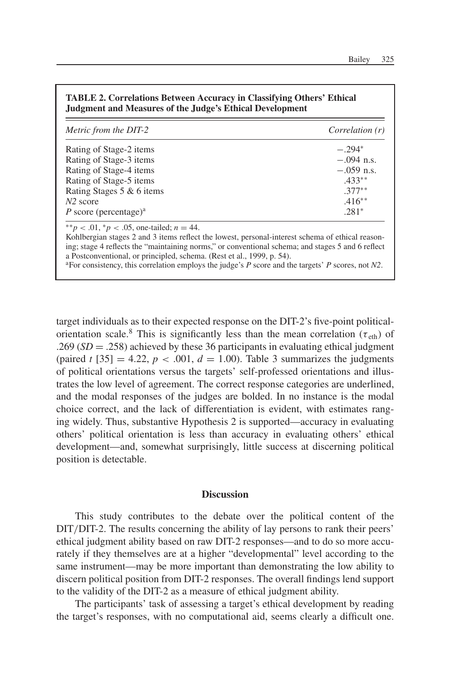| Metric from the DIT-2             | Correlation (r) |
|-----------------------------------|-----------------|
| Rating of Stage-2 items           | $-294*$         |
| Rating of Stage-3 items           | $-.094$ n.s.    |
| Rating of Stage-4 items           | $-.059$ n.s.    |
| Rating of Stage-5 items           | $.433**$        |
| Rating Stages 5 & 6 items         | $.377**$        |
| $N2$ score                        | $.416**$        |
| P score (percentage) <sup>a</sup> | $.281*$         |

**TABLE 2. Correlations Between Accuracy in Classifying Others' Ethical**

aFor consistency, this correlation employs the judge's *P* score and the targets' *P* scores, not *N2*.

a Postconventional, or principled, schema. (Rest et al., 1999, p. 54).

target individuals as to their expected response on the DIT-2's five-point politicalorientation scale.<sup>8</sup> This is significantly less than the mean correlation ( $\tau_{\text{eth}}$ ) of  $.269(SD = .258)$  achieved by these 36 participants in evaluating ethical judgment (paired *t* [35] = 4.22,  $p < .001$ ,  $d = 1.00$ ). Table 3 summarizes the judgments of political orientations versus the targets' self-professed orientations and illustrates the low level of agreement. The correct response categories are underlined, and the modal responses of the judges are bolded. In no instance is the modal choice correct, and the lack of differentiation is evident, with estimates ranging widely. Thus, substantive Hypothesis 2 is supported—accuracy in evaluating others' political orientation is less than accuracy in evaluating others' ethical development—and, somewhat surprisingly, little success at discerning political position is detectable.

# **Discussion**

This study contributes to the debate over the political content of the DIT/DIT-2. The results concerning the ability of lay persons to rank their peers' ethical judgment ability based on raw DIT-2 responses—and to do so more accurately if they themselves are at a higher "developmental" level according to the same instrument—may be more important than demonstrating the low ability to discern political position from DIT-2 responses. The overall findings lend support to the validity of the DIT-2 as a measure of ethical judgment ability.

The participants' task of assessing a target's ethical development by reading the target's responses, with no computational aid, seems clearly a difficult one.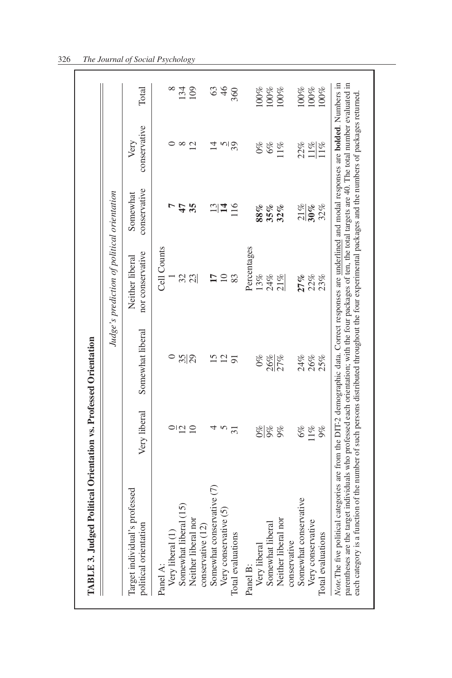|                                                                        |                   |                                     | Judge's prediction of political orientation |                      |          |
|------------------------------------------------------------------------|-------------------|-------------------------------------|---------------------------------------------|----------------------|----------|
| Very liberal<br>Target individual's professed<br>oolitical orientation | Somewhat liberal  | nor conservative<br>Neither liberal | conservative<br>Somewhat                    | conservative<br>Very | Total    |
| Panel A:                                                               |                   | Cell Counts                         |                                             |                      |          |
| Very liberal (1)                                                       | $\circ$           |                                     |                                             |                      | $\infty$ |
| $\frac{1}{2}$<br>Somewhat liberal (15)                                 |                   | 32                                  | 47                                          | $\infty$             | 134      |
| $\overline{10}$<br>Neither liberal nor                                 | $\frac{35}{29}$   | 23                                  | 35                                          | 12                   | 109      |
| conservative (12)                                                      |                   |                                     |                                             |                      |          |
| 4<br>Somewhat conservative (7)                                         | $\overline{15}$   | $\overline{17}$                     | $\frac{2}{3}$                               | 츠                    | 63       |
| 5<br>Very conservative (5)                                             | 12                | $\Box$                              |                                             | $rac{5}{3}$          | 46       |
| $\overline{31}$<br>Total evaluations                                   | $\overline{91}$   | 83                                  | 116                                         |                      | 360      |
| Panel B:                                                               |                   | Percentages                         |                                             |                      |          |
| Very liberal                                                           | $0\%$             | 13%                                 | 88%                                         | $0\%$                | 100%     |
| 8 % %<br>8 %<br>Somewhat liberal                                       |                   | 24%                                 | 35%                                         | 6%                   | $100\%$  |
| Neither liberal nor                                                    | $\frac{26%}{27%}$ | $21\%$                              | 32%                                         | $11\%$               | $100\%$  |
| conservative                                                           |                   |                                     |                                             |                      |          |
| 6%<br>Somewhat conservative                                            |                   | 27%                                 |                                             |                      | 100%     |
| $11\%$<br>Very conservative                                            | 24%<br>26%<br>25% | 22%<br>23%                          | $\frac{21\%}{30\%}$                         | $\frac{22%}{11%}$    | 100%     |
| 9%<br>Total evaluations                                                |                   |                                     | 32%                                         | $11\%$               | 100%     |

# 326 *The Journal of Social Psychology*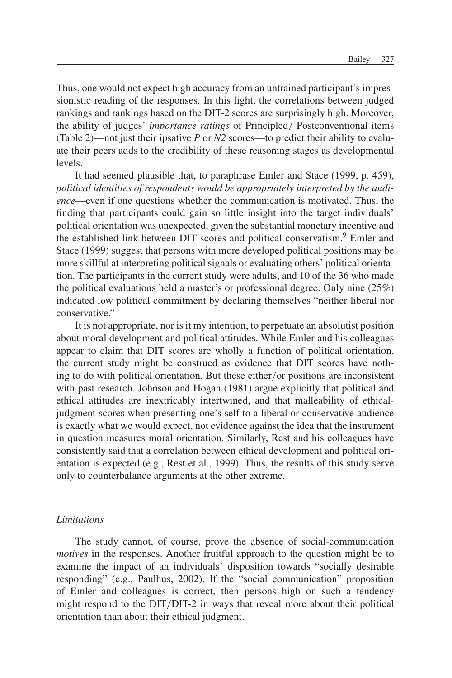Thus, one would not expect high accuracy from an untrained participant's impressionistic reading of the responses. In this light, the correlations between judged rankings and rankings based on the DIT-2 scores are surprisingly high. Moreover, the ability of judges' *importance ratings* of Principled/ Postconventional items (Table 2)—not just their ipsative *P* or *N2* scores—to predict their ability to evaluate their peers adds to the credibility of these reasoning stages as developmental levels.

It had seemed plausible that, to paraphrase Emler and Stace (1999, p. 459), *political identities of respondents would be appropriately interpreted by the audience*—even if one questions whether the communication is motivated. Thus, the finding that participants could gain so little insight into the target individuals' political orientation was unexpected, given the substantial monetary incentive and the established link between DIT scores and political conservatism.9 Emler and Stace (1999) suggest that persons with more developed political positions may be more skillful at interpreting political signals or evaluating others' political orientation. The participants in the current study were adults, and 10 of the 36 who made the political evaluations held a master's or professional degree. Only nine (25%) indicated low political commitment by declaring themselves "neither liberal nor conservative."

It is not appropriate, nor is it my intention, to perpetuate an absolutist position about moral development and political attitudes. While Emler and his colleagues appear to claim that DIT scores are wholly a function of political orientation, the current study might be construed as evidence that DIT scores have nothing to do with political orientation. But these either/or positions are inconsistent with past research. Johnson and Hogan (1981) argue explicitly that political and ethical attitudes are inextricably intertwined, and that malleability of ethicaljudgment scores when presenting one's self to a liberal or conservative audience is exactly what we would expect, not evidence against the idea that the instrument in question measures moral orientation. Similarly, Rest and his colleagues have consistently said that a correlation between ethical development and political orientation is expected (e.g., Rest et al., 1999). Thus, the results of this study serve only to counterbalance arguments at the other extreme.

## *Limitations*

The study cannot, of course, prove the absence of social-communication *motives* in the responses. Another fruitful approach to the question might be to examine the impact of an individuals' disposition towards "socially desirable responding" (e.g., Paulhus, 2002). If the "social communication" proposition of Emler and colleagues is correct, then persons high on such a tendency might respond to the DIT/DIT-2 in ways that reveal more about their political orientation than about their ethical judgment.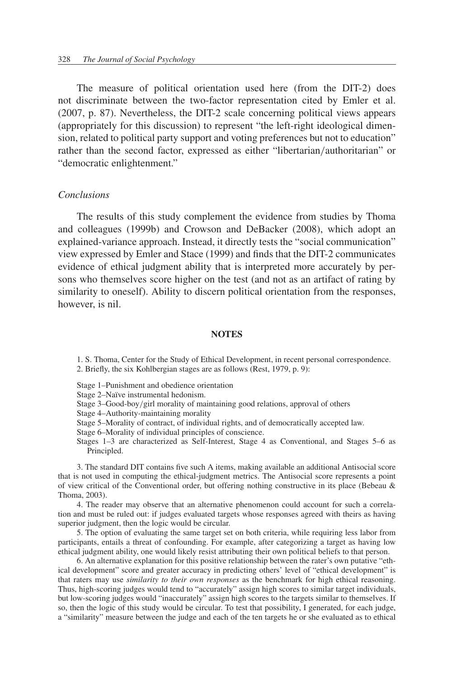The measure of political orientation used here (from the DIT-2) does not discriminate between the two-factor representation cited by Emler et al. (2007, p. 87). Nevertheless, the DIT-2 scale concerning political views appears (appropriately for this discussion) to represent "the left-right ideological dimension, related to political party support and voting preferences but not to education" rather than the second factor, expressed as either "libertarian/authoritarian" or "democratic enlightenment."

#### *Conclusions*

The results of this study complement the evidence from studies by Thoma and colleagues (1999b) and Crowson and DeBacker (2008), which adopt an explained-variance approach. Instead, it directly tests the "social communication" view expressed by Emler and Stace (1999) and finds that the DIT-2 communicates evidence of ethical judgment ability that is interpreted more accurately by persons who themselves score higher on the test (and not as an artifact of rating by similarity to oneself). Ability to discern political orientation from the responses, however, is nil.

## **NOTES**

1. S. Thoma, Center for the Study of Ethical Development, in recent personal correspondence. 2. Briefly, the six Kohlbergian stages are as follows (Rest, 1979, p. 9):

Stage 1–Punishment and obedience orientation

Stage 2–Naïve instrumental hedonism.

Stage 3–Good-boy/girl morality of maintaining good relations, approval of others

Stage 4–Authority-maintaining morality

- Stage 5–Morality of contract, of individual rights, and of democratically accepted law.
- Stage 6–Morality of individual principles of conscience.
- Stages 1–3 are characterized as Self-Interest, Stage 4 as Conventional, and Stages 5–6 as Principled.

3. The standard DIT contains five such A items, making available an additional Antisocial score that is not used in computing the ethical-judgment metrics. The Antisocial score represents a point of view critical of the Conventional order, but offering nothing constructive in its place (Bebeau & Thoma, 2003).

4. The reader may observe that an alternative phenomenon could account for such a correlation and must be ruled out: if judges evaluated targets whose responses agreed with theirs as having superior judgment, then the logic would be circular.

5. The option of evaluating the same target set on both criteria, while requiring less labor from participants, entails a threat of confounding. For example, after categorizing a target as having low ethical judgment ability, one would likely resist attributing their own political beliefs to that person.

6. An alternative explanation for this positive relationship between the rater's own putative "ethical development" score and greater accuracy in predicting others' level of "ethical development" is that raters may use *similarity to their own responses* as the benchmark for high ethical reasoning. Thus, high-scoring judges would tend to "accurately" assign high scores to similar target individuals, but low-scoring judges would "inaccurately" assign high scores to the targets similar to themselves. If so, then the logic of this study would be circular. To test that possibility, I generated, for each judge, a "similarity" measure between the judge and each of the ten targets he or she evaluated as to ethical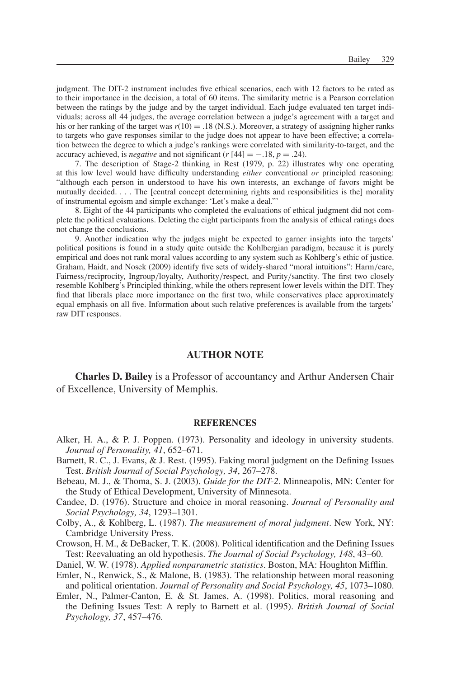judgment. The DIT-2 instrument includes five ethical scenarios, each with 12 factors to be rated as to their importance in the decision, a total of 60 items. The similarity metric is a Pearson correlation between the ratings by the judge and by the target individual. Each judge evaluated ten target individuals; across all 44 judges, the average correlation between a judge's agreement with a target and his or her ranking of the target was  $r(10) = .18$  (N.S.). Moreover, a strategy of assigning higher ranks to targets who gave responses similar to the judge does not appear to have been effective; a correlation between the degree to which a judge's rankings were correlated with similarity-to-target, and the accuracy achieved, is *negative* and not significant ( $r$  [44] = −.18,  $p$  = .24).

7. The description of Stage-2 thinking in Rest (1979, p. 22) illustrates why one operating at this low level would have difficulty understanding *either* conventional *or* principled reasoning: "although each person in understood to have his own interests, an exchange of favors might be mutually decided... . The [central concept determining rights and responsibilities is the] morality of instrumental egoism and simple exchange: 'Let's make a deal."'

8. Eight of the 44 participants who completed the evaluations of ethical judgment did not complete the political evaluations. Deleting the eight participants from the analysis of ethical ratings does not change the conclusions.

9. Another indication why the judges might be expected to garner insights into the targets' political positions is found in a study quite outside the Kohlbergian paradigm, because it is purely empirical and does not rank moral values according to any system such as Kohlberg's ethic of justice. Graham, Haidt, and Nosek (2009) identify five sets of widely-shared "moral intuitions": Harm/care, Fairness/reciprocity, Ingroup/loyalty, Authority/respect, and Purity/sanctity. The first two closely resemble Kohlberg's Principled thinking, while the others represent lower levels within the DIT. They find that liberals place more importance on the first two, while conservatives place approximately equal emphasis on all five. Information about such relative preferences is available from the targets' raw DIT responses.

#### **AUTHOR NOTE**

**Charles D. Bailey** is a Professor of accountancy and Arthur Andersen Chair of Excellence, University of Memphis.

#### **REFERENCES**

- Alker, H. A., & P. J. Poppen. (1973). Personality and ideology in university students. *Journal of Personality, 41*, 652–671.
- Barnett, R. C., J. Evans, & J. Rest. (1995). Faking moral judgment on the Defining Issues Test. *British Journal of Social Psychology, 34*, 267–278.
- Bebeau, M. J., & Thoma, S. J. (2003). *Guide for the DIT-2*. Minneapolis, MN: Center for the Study of Ethical Development, University of Minnesota.
- Candee, D. (1976). Structure and choice in moral reasoning. *Journal of Personality and Social Psychology, 34*, 1293–1301.
- Colby, A., & Kohlberg, L. (1987). *The measurement of moral judgment*. New York, NY: Cambridge University Press.
- Crowson, H. M., & DeBacker, T. K. (2008). Political identification and the Defining Issues Test: Reevaluating an old hypothesis. *The Journal of Social Psychology, 148*, 43–60.
- Daniel, W. W. (1978). *Applied nonparametric statistics*. Boston, MA: Houghton Mifflin.
- Emler, N., Renwick, S., & Malone, B. (1983). The relationship between moral reasoning and political orientation. *Journal of Personality and Social Psychology, 45*, 1073–1080.
- Emler, N., Palmer-Canton, E. & St. James, A. (1998). Politics, moral reasoning and the Defining Issues Test: A reply to Barnett et al. (1995). *British Journal of Social Psychology, 37*, 457–476.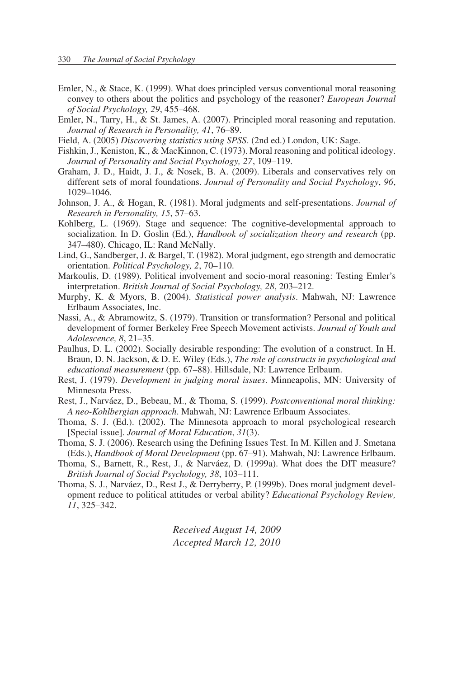- Emler, N., & Stace, K. (1999). What does principled versus conventional moral reasoning convey to others about the politics and psychology of the reasoner? *European Journal of Social Psychology, 29*, 455–468.
- Emler, N., Tarry, H., & St. James, A. (2007). Principled moral reasoning and reputation. *Journal of Research in Personality, 41*, 76–89.
- Field, A. (2005) *Discovering statistics using SPSS*. (2nd ed.) London, UK: Sage.
- Fishkin, J., Keniston, K., & MacKinnon, C. (1973). Moral reasoning and political ideology. *Journal of Personality and Social Psychology, 27*, 109–119.
- Graham, J. D., Haidt, J. J., & Nosek, B. A. (2009). Liberals and conservatives rely on different sets of moral foundations. *Journal of Personality and Social Psychology*, *96*, 1029–1046.
- Johnson, J. A., & Hogan, R. (1981). Moral judgments and self-presentations. *Journal of Research in Personality, 15*, 57–63.
- Kohlberg, L. (1969). Stage and sequence: The cognitive-developmental approach to socialization. In D. Goslin (Ed.), *Handbook of socialization theory and research* (pp. 347–480). Chicago, IL: Rand McNally.
- Lind, G., Sandberger, J. & Bargel, T. (1982). Moral judgment, ego strength and democratic orientation. *Political Psychology, 2*, 70–110.
- Markoulis, D. (1989). Political involvement and socio-moral reasoning: Testing Emler's interpretation. *British Journal of Social Psychology, 28*, 203–212.
- Murphy, K. & Myors, B. (2004). *Statistical power analysis*. Mahwah, NJ: Lawrence Erlbaum Associates, Inc.
- Nassi, A., & Abramowitz, S. (1979). Transition or transformation? Personal and political development of former Berkeley Free Speech Movement activists. *Journal of Youth and Adolescence, 8*, 21–35.
- Paulhus, D. L. (2002). Socially desirable responding: The evolution of a construct. In H. Braun, D. N. Jackson, & D. E. Wiley (Eds.), *The role of constructs in psychological and educational measurement* (pp. 67–88). Hillsdale, NJ: Lawrence Erlbaum.
- Rest, J. (1979). *Development in judging moral issues*. Minneapolis, MN: University of Minnesota Press.
- Rest, J., Narváez, D., Bebeau, M., & Thoma, S. (1999). *Postconventional moral thinking: A neo-Kohlbergian approach*. Mahwah, NJ: Lawrence Erlbaum Associates.
- Thoma, S. J. (Ed.). (2002). The Minnesota approach to moral psychological research [Special issue]. *Journal of Moral Education*, *31*(3).
- Thoma, S. J. (2006). Research using the Defining Issues Test. In M. Killen and J. Smetana (Eds.), *Handbook of Moral Development* (pp. 67–91). Mahwah, NJ: Lawrence Erlbaum.
- Thoma, S., Barnett, R., Rest, J., & Narváez, D. (1999a). What does the DIT measure? *British Journal of Social Psychology, 38*, 103–111.
- Thoma, S. J., Narváez, D., Rest J., & Derryberry, P. (1999b). Does moral judgment development reduce to political attitudes or verbal ability? *Educational Psychology Review, 11*, 325–342.

*Received August 14, 2009 Accepted March 12, 2010*